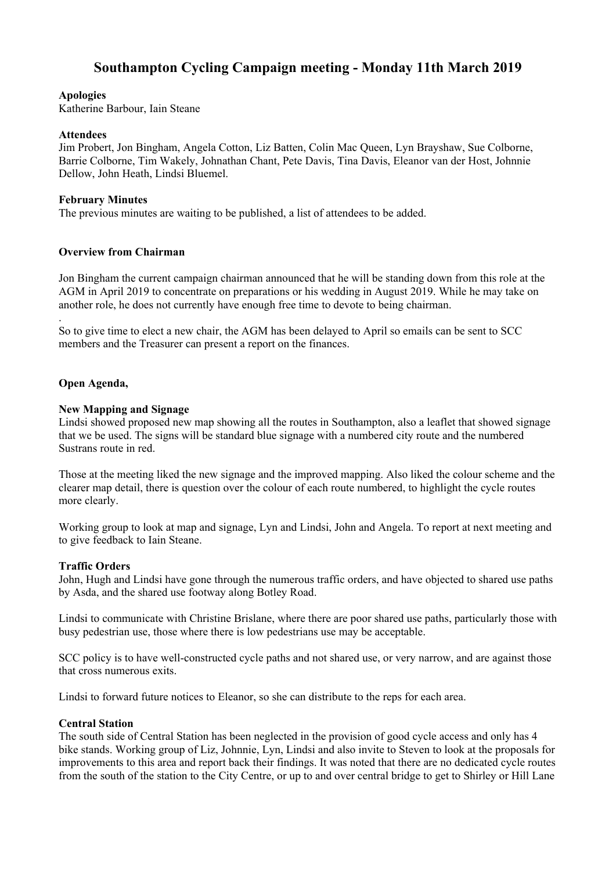# **Southampton Cycling Campaign meeting - Monday 11th March 2019**

#### **Apologies**

Katherine Barbour, Iain Steane

#### **Attendees**

Jim Probert, Jon Bingham, Angela Cotton, Liz Batten, Colin Mac Queen, Lyn Brayshaw, Sue Colborne, Barrie Colborne, Tim Wakely, Johnathan Chant, Pete Davis, Tina Davis, Eleanor van der Host, Johnnie Dellow, John Heath, Lindsi Bluemel.

# **February Minutes**

The previous minutes are waiting to be published, a list of attendees to be added.

# **Overview from Chairman**

Jon Bingham the current campaign chairman announced that he will be standing down from this role at the AGM in April 2019 to concentrate on preparations or his wedding in August 2019. While he may take on another role, he does not currently have enough free time to devote to being chairman.

So to give time to elect a new chair, the AGM has been delayed to April so emails can be sent to SCC members and the Treasurer can present a report on the finances.

# **Open Agenda,**

.

# **New Mapping and Signage**

Lindsi showed proposed new map showing all the routes in Southampton, also a leaflet that showed signage that we be used. The signs will be standard blue signage with a numbered city route and the numbered Sustrans route in red.

Those at the meeting liked the new signage and the improved mapping. Also liked the colour scheme and the clearer map detail, there is question over the colour of each route numbered, to highlight the cycle routes more clearly.

Working group to look at map and signage, Lyn and Lindsi, John and Angela. To report at next meeting and to give feedback to Iain Steane.

#### **Traffic Orders**

John, Hugh and Lindsi have gone through the numerous traffic orders, and have objected to shared use paths by Asda, and the shared use footway along Botley Road.

Lindsi to communicate with Christine Brislane, where there are poor shared use paths, particularly those with busy pedestrian use, those where there is low pedestrians use may be acceptable.

SCC policy is to have well-constructed cycle paths and not shared use, or very narrow, and are against those that cross numerous exits.

Lindsi to forward future notices to Eleanor, so she can distribute to the reps for each area.

#### **Central Station**

The south side of Central Station has been neglected in the provision of good cycle access and only has 4 bike stands. Working group of Liz, Johnnie, Lyn, Lindsi and also invite to Steven to look at the proposals for improvements to this area and report back their findings. It was noted that there are no dedicated cycle routes from the south of the station to the City Centre, or up to and over central bridge to get to Shirley or Hill Lane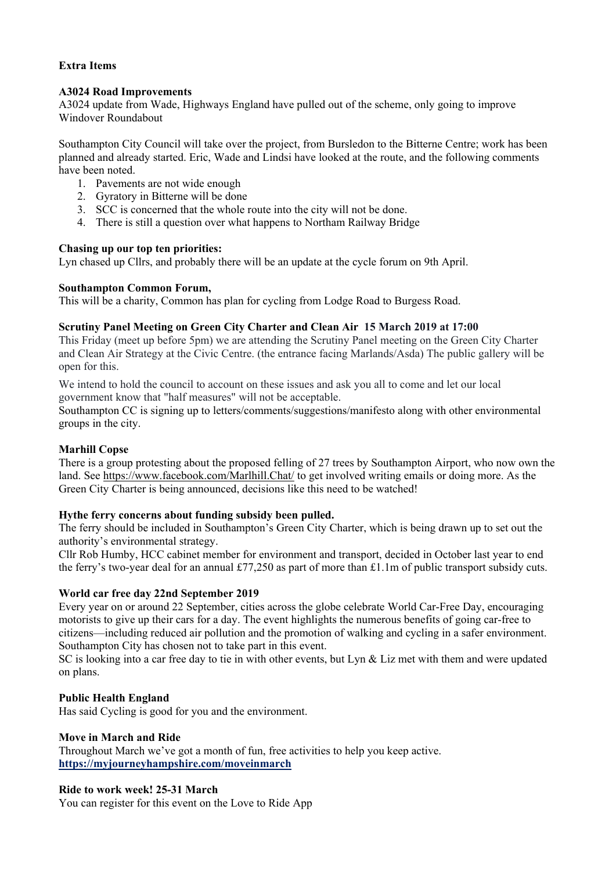# **Extra Items**

# **A3024 Road Improvements**

A3024 update from Wade, Highways England have pulled out of the scheme, only going to improve Windover Roundabout

Southampton City Council will take over the project, from Bursledon to the Bitterne Centre; work has been planned and already started. Eric, Wade and Lindsi have looked at the route, and the following comments have been noted.

- 1. Pavements are not wide enough
- 2. Gyratory in Bitterne will be done
- 3. SCC is concerned that the whole route into the city will not be done.
- 4. There is still a question over what happens to Northam Railway Bridge

#### **Chasing up our top ten priorities:**

Lyn chased up Cllrs, and probably there will be an update at the cycle forum on 9th April.

# **Southampton Common Forum,**

This will be a charity, Common has plan for cycling from Lodge Road to Burgess Road.

# **Scrutiny Panel Meeting on Green City Charter and Clean Air 15 March 2019 at 17:00**

This Friday (meet up before 5pm) we are attending the Scrutiny Panel meeting on the Green City Charter and Clean Air Strategy at the Civic Centre. (the entrance facing Marlands/Asda) The public gallery will be open for this.

We intend to hold the council to account on these issues and ask you all to come and let our local government know that "half measures" will not be acceptable.

Southampton CC is signing up to letters/comments/suggestions/manifesto along with other environmental groups in the city.

#### **Marhill Copse**

There is a group protesting about the proposed felling of 27 trees by Southampton Airport, who now own the land. See https://www.facebook.com/Marlhill.Chat/ to get involved writing emails or doing more. As the Green City Charter is being announced, decisions like this need to be watched!

# **Hythe ferry concerns about funding subsidy been pulled.**

The ferry should be included in Southampton's Green City Charter, which is being drawn up to set out the authority's environmental strategy.

Cllr Rob Humby, HCC cabinet member for environment and transport, decided in October last year to end the ferry's two-year deal for an annual £77,250 as part of more than £1.1m of public transport subsidy cuts.

#### **World car free day 22nd September 2019**

Every year on or around 22 September, cities across the globe celebrate World Car-Free Day, encouraging motorists to give up their cars for a day. The event highlights the numerous benefits of going car-free to citizens—including reduced air pollution and the promotion of walking and cycling in a safer environment. Southampton City has chosen not to take part in this event.

SC is looking into a car free day to tie in with other events, but Lyn & Liz met with them and were updated on plans.

# **Public Health England**

Has said Cycling is good for you and the environment.

#### **Move in March and Ride**

Throughout March we've got a month of fun, free activities to help you keep active. **https://myjourneyhampshire.com/moveinmarch**

#### **Ride to work week! 25-31 March**

You can register for this event on the Love to Ride App